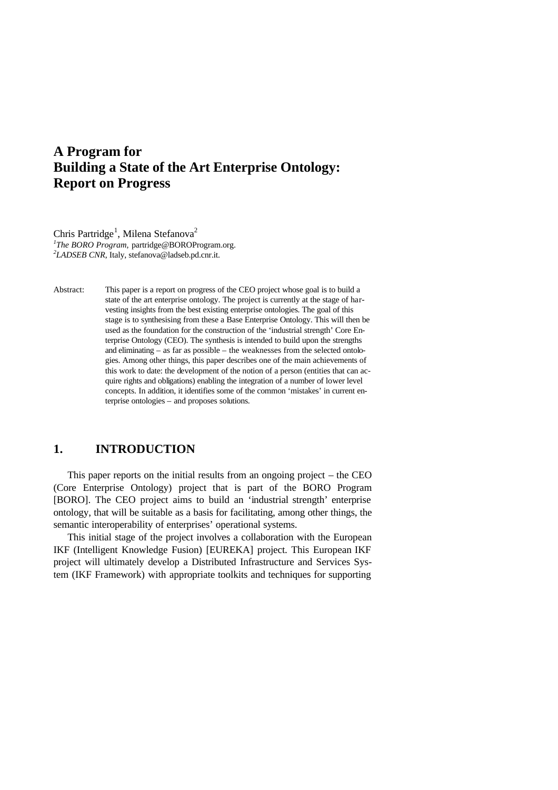# **A Program for Building a State of the Art Enterprise Ontology: Report on Progress**

Chris Partridge<sup>1</sup>, Milena Stefanova<sup>2</sup> *1 The BORO Program,* partridge@BOROProgram.org. *2 LADSEB CNR*, Italy, stefanova@ladseb.pd.cnr.it.

Abstract: This paper is a report on progress of the CEO project whose goal is to build a state of the art enterprise ontology. The project is currently at the stage of harvesting insights from the best existing enterprise ontologies. The goal of this stage is to synthesising from these a Base Enterprise Ontology. This will then be used as the foundation for the construction of the 'industrial strength' Core Enterprise Ontology (CEO). The synthesis is intended to build upon the strengths and eliminating – as far as possible – the weaknesses from the selected ontologies. Among other things, this paper describes one of the main achievements of this work to date: the development of the notion of a person (entities that can acquire rights and obligations) enabling the integration of a number of lower level concepts. In addition, it identifies some of the common 'mistakes' in current enterprise ontologies – and proposes solutions.

# **1. INTRODUCTION**

This paper reports on the initial results from an ongoing project – the CEO (Core Enterprise Ontology) project that is part of the BORO Program [BORO]. The CEO project aims to build an 'industrial strength' enterprise ontology, that will be suitable as a basis for facilitating, among other things, the semantic interoperability of enterprises' operational systems.

This initial stage of the project involves a collaboration with the European IKF (Intelligent Knowledge Fusion) [EUREKA] project. This European IKF project will ultimately develop a Distributed Infrastructure and Services System (IKF Framework) with appropriate toolkits and techniques for supporting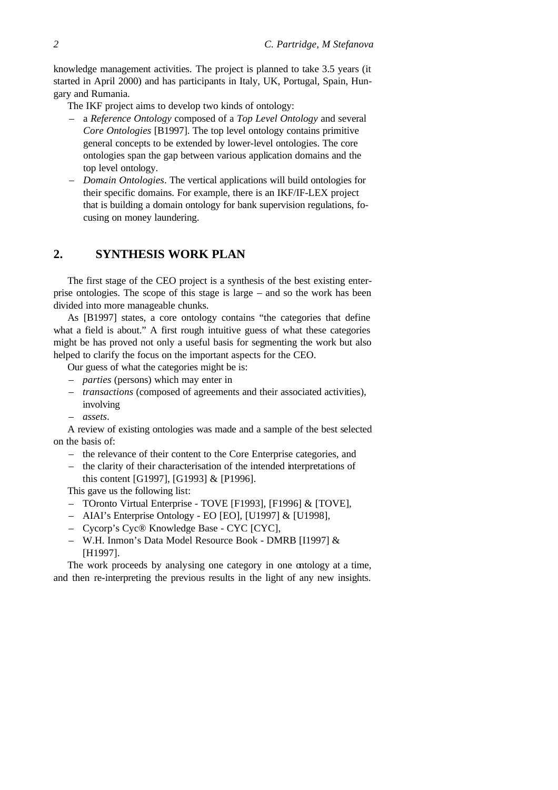knowledge management activities. The project is planned to take 3.5 years (it started in April 2000) and has participants in Italy, UK, Portugal, Spain, Hungary and Rumania.

The IKF project aims to develop two kinds of ontology:

- a *Reference Ontology* composed of a *Top Level Ontology* and several *Core Ontologies* [B1997]. The top level ontology contains primitive general concepts to be extended by lower-level ontologies. The core ontologies span the gap between various application domains and the top level ontology.
- *Domain Ontologies*. The vertical applications will build ontologies for their specific domains. For example, there is an IKF/IF-LEX project that is building a domain ontology for bank supervision regulations, focusing on money laundering.

# **2. SYNTHESIS WORK PLAN**

The first stage of the CEO project is a synthesis of the best existing enterprise ontologies. The scope of this stage is large – and so the work has been divided into more manageable chunks.

As [B1997] states, a core ontology contains "the categories that define what a field is about." A first rough intuitive guess of what these categories might be has proved not only a useful basis for segmenting the work but also helped to clarify the focus on the important aspects for the CEO.

Our guess of what the categories might be is:

- *parties* (persons) which may enter in
- *transactions* (composed of agreements and their associated activities), involving
- *assets*.

A review of existing ontologies was made and a sample of the best selected on the basis of:

- the relevance of their content to the Core Enterprise categories, and
- the clarity of their characterisation of the intended interpretations of this content [G1997], [G1993] & [P1996].

This gave us the following list:

- TOronto Virtual Enterprise TOVE [F1993], [F1996] & [TOVE],
- AIAI's Enterprise Ontology EO [EO], [U1997] & [U1998],
- Cycorp's Cyc® Knowledge Base CYC [CYC],
- W.H. Inmon's Data Model Resource Book DMRB [I1997] & [H1997].

The work proceeds by analysing one category in one ontology at a time, and then re-interpreting the previous results in the light of any new insights.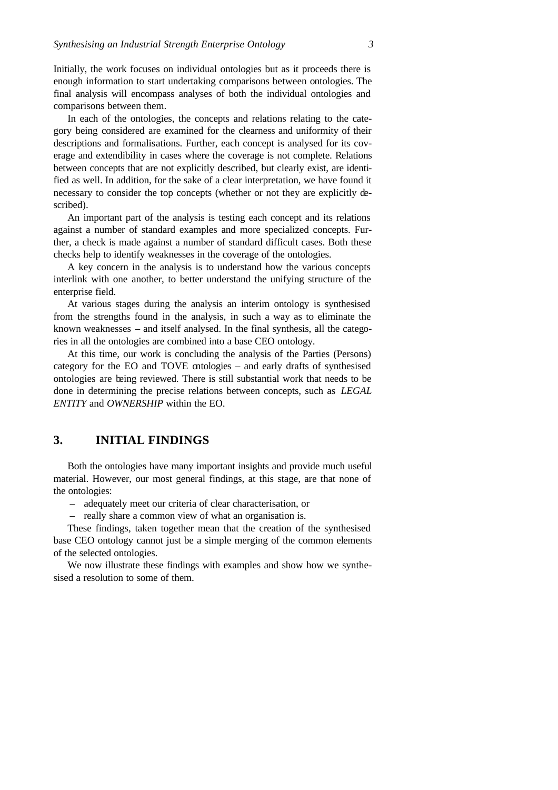Initially, the work focuses on individual ontologies but as it proceeds there is enough information to start undertaking comparisons between ontologies. The final analysis will encompass analyses of both the individual ontologies and comparisons between them.

In each of the ontologies, the concepts and relations relating to the category being considered are examined for the clearness and uniformity of their descriptions and formalisations. Further, each concept is analysed for its coverage and extendibility in cases where the coverage is not complete. Relations between concepts that are not explicitly described, but clearly exist, are identified as well. In addition, for the sake of a clear interpretation, we have found it necessary to consider the top concepts (whether or not they are explicitly described).

An important part of the analysis is testing each concept and its relations against a number of standard examples and more specialized concepts. Further, a check is made against a number of standard difficult cases. Both these checks help to identify weaknesses in the coverage of the ontologies.

A key concern in the analysis is to understand how the various concepts interlink with one another, to better understand the unifying structure of the enterprise field.

At various stages during the analysis an interim ontology is synthesised from the strengths found in the analysis, in such a way as to eliminate the known weaknesses – and itself analysed. In the final synthesis, all the categories in all the ontologies are combined into a base CEO ontology.

At this time, our work is concluding the analysis of the Parties (Persons) category for the EO and TOVE ontologies – and early drafts of synthesised ontologies are being reviewed. There is still substantial work that needs to be done in determining the precise relations between concepts, such as *LEGAL ENTITY* and *OWNERSHIP* within the EO.

#### **3. INITIAL FINDINGS**

Both the ontologies have many important insights and provide much useful material. However, our most general findings, at this stage, are that none of the ontologies:

- adequately meet our criteria of clear characterisation, or
- really share a common view of what an organisation is.

These findings, taken together mean that the creation of the synthesised base CEO ontology cannot just be a simple merging of the common elements of the selected ontologies.

We now illustrate these findings with examples and show how we synthesised a resolution to some of them.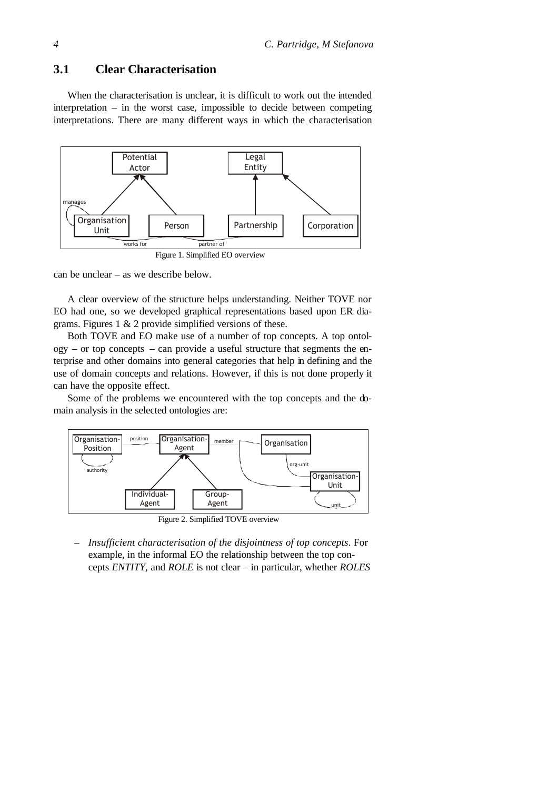#### **3.1 Clear Characterisation**

When the characterisation is unclear, it is difficult to work out the intended interpretation – in the worst case, impossible to decide between competing interpretations. There are many different ways in which the characterisation



can be unclear – as we describe below.

A clear overview of the structure helps understanding. Neither TOVE nor EO had one, so we developed graphical representations based upon ER diagrams. Figures 1 & 2 provide simplified versions of these.

Both TOVE and EO make use of a number of top concepts. A top ontol $ogy - or top concepts - can provide a useful structure that segments the en$ terprise and other domains into general categories that help in defining and the use of domain concepts and relations. However, if this is not done properly it can have the opposite effect.

Some of the problems we encountered with the top concepts and the domain analysis in the selected ontologies are:



Figure 2. Simplified TOVE overview

– *Insufficient characterisation of the disjointness of top concepts*. For example, in the informal EO the relationship between the top concepts *ENTITY,* and *ROLE* is not clear – in particular, whether *ROLES*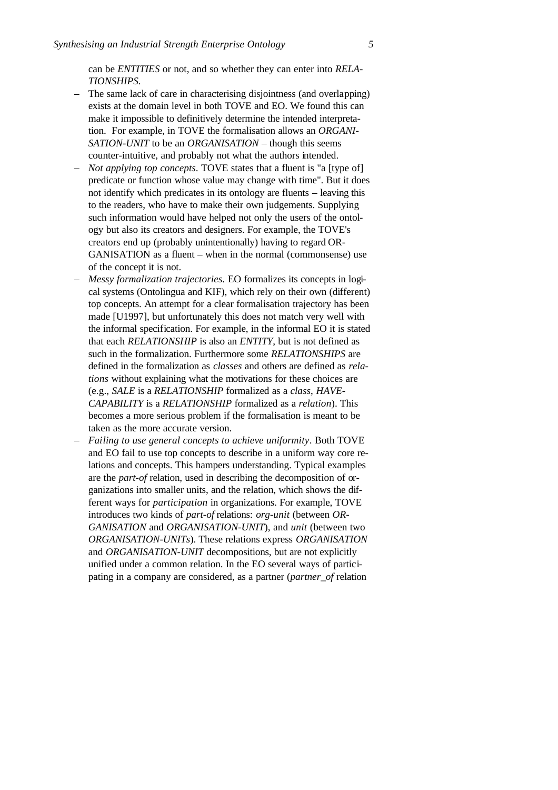can be *ENTITIES* or not, and so whether they can enter into *RELA-TIONSHIPS*.

- The same lack of care in characterising disjointness (and overlapping) exists at the domain level in both TOVE and EO. We found this can make it impossible to definitively determine the intended interpretation. For example, in TOVE the formalisation allows an *ORGANI-SATION-UNIT* to be an *ORGANISATION* – though this seems counter-intuitive, and probably not what the authors intended.
- *Not applying top concepts*. TOVE states that a fluent is "a [type of] predicate or function whose value may change with time". But it does not identify which predicates in its ontology are fluents – leaving this to the readers, who have to make their own judgements. Supplying such information would have helped not only the users of the ontology but also its creators and designers. For example, the TOVE's creators end up (probably unintentionally) having to regard OR-GANISATION as a fluent – when in the normal (commonsense) use of the concept it is not.
- *Messy formalization trajectories.* EO formalizes its concepts in logical systems (Ontolingua and KIF), which rely on their own (different) top concepts. An attempt for a clear formalisation trajectory has been made [U1997], but unfortunately this does not match very well with the informal specification. For example, in the informal EO it is stated that each *RELATIONSHIP* is also an *ENTITY*, but is not defined as such in the formalization. Furthermore some *RELATIONSHIPS* are defined in the formalization as *classes* and others are defined as *relations* without explaining what the motivations for these choices are (e.g., *SALE* is a *RELATIONSHIP* formalized as a *class*, *HAVE-CAPABILITY* is a *RELATIONSHIP* formalized as a *relation*). This becomes a more serious problem if the formalisation is meant to be taken as the more accurate version.
- *Failing to use general concepts to achieve uniformity*. Both TOVE and EO fail to use top concepts to describe in a uniform way core relations and concepts. This hampers understanding. Typical examples are the *part-of* relation, used in describing the decomposition of organizations into smaller units, and the relation, which shows the different ways for *participation* in organizations. For example, TOVE introduces two kinds of *part-of* relations: *org-unit* (between *OR-GANISATION* and *ORGANISATION-UNIT*), and *unit* (between two *ORGANISATION-UNITs*). These relations express *ORGANISATION* and *ORGANISATION-UNIT* decompositions, but are not explicitly unified under a common relation. In the EO several ways of participating in a company are considered, as a partner (*partner\_of* relation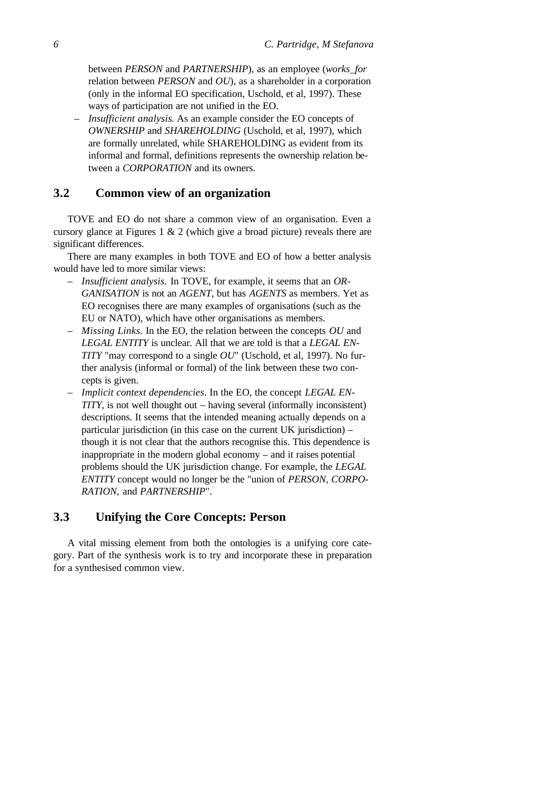between *PERSON* and *PARTNERSHIP*), as an employee (*works\_for* relation between *PERSON* and *OU*), as a shareholder in a corporation (only in the informal EO specification, Uschold, et al, 1997). These ways of participation are not unified in the EO.

– *Insufficient analysis*. As an example consider the EO concepts of *OWNERSHIP* and *SHAREHOLDING* (Uschold, et al, 1997), which are formally unrelated, while SHAREHOLDING as evident from its informal and formal, definitions represents the ownership relation between a *CORPORATION* and its owners.

# **3.2 Common view of an organization**

TOVE and EO do not share a common view of an organisation. Even a cursory glance at Figures 1 & 2 (which give a broad picture) reveals there are significant differences.

There are many examples in both TOVE and EO of how a better analysis would have led to more similar views:

- *Insufficient analysis.* In TOVE, for example, it seems that an *OR-GANISATION* is not an *AGENT*, but has *AGENTS* as members. Yet as EO recognises there are many examples of organisations (such as the EU or NATO), which have other organisations as members.
- *Missing Links.* In the EO, the relation between the concepts *OU* and *LEGAL ENTITY* is unclear. All that we are told is that a *LEGAL EN-TITY* "may correspond to a single *OU*" (Uschold, et al, 1997). No further analysis (informal or formal) of the link between these two concepts is given.
- *Implicit context dependencies*. In the EO, the concept *LEGAL EN-TITY*, is not well thought out – having several (informally inconsistent) descriptions. It seems that the intended meaning actually depends on a particular jurisdiction (in this case on the current UK jurisdiction) – though it is not clear that the authors recognise this. This dependence is inappropriate in the modern global economy – and it raises potential problems should the UK jurisdiction change. For example, the *LEGAL ENTITY* concept would no longer be the "union of *PERSON, CORPO-RATION,* and *PARTNERSHIP*".

#### **3.3 Unifying the Core Concepts: Person**

A vital missing element from both the ontologies is a unifying core category. Part of the synthesis work is to try and incorporate these in preparation for a synthesised common view.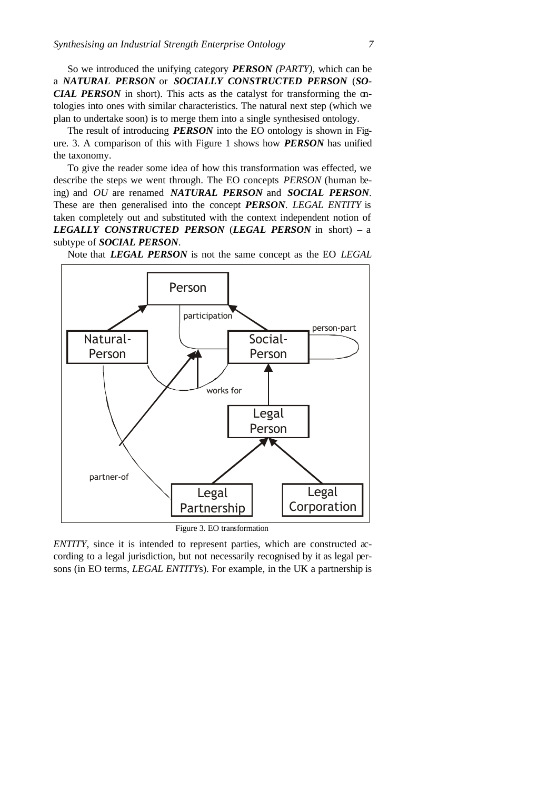So we introduced the unifying category *PERSON (PARTY),* which can be a *NATURAL PERSON* or *SOCIALLY CONSTRUCTED PERSON* (*SO-CIAL PERSON* in short). This acts as the catalyst for transforming the ontologies into ones with similar characteristics. The natural next step (which we plan to undertake soon) is to merge them into a single synthesised ontology.

The result of introducing *PERSON* into the EO ontology is shown in Figure. 3. A comparison of this with Figure 1 shows how *PERSON* has unified the taxonomy.

To give the reader some idea of how this transformation was effected, we describe the steps we went through. The EO concepts *PERSON* (human being) and *OU* are renamed *NATURAL PERSON* and *SOCIAL PERSON*. These are then generalised into the concept *PERSON*. *LEGAL ENTITY* is taken completely out and substituted with the context independent notion of *LEGALLY CONSTRUCTED PERSON* (*LEGAL PERSON* in short) – a subtype of *SOCIAL PERSON*.

Note that *LEGAL PERSON* is not the same concept as the EO *LEGAL* 



*ENTITY*, since it is intended to represent parties, which are constructed according to a legal jurisdiction, but not necessarily recognised by it as legal persons (in EO terms, *LEGAL ENTITY*s). For example, in the UK a partnership is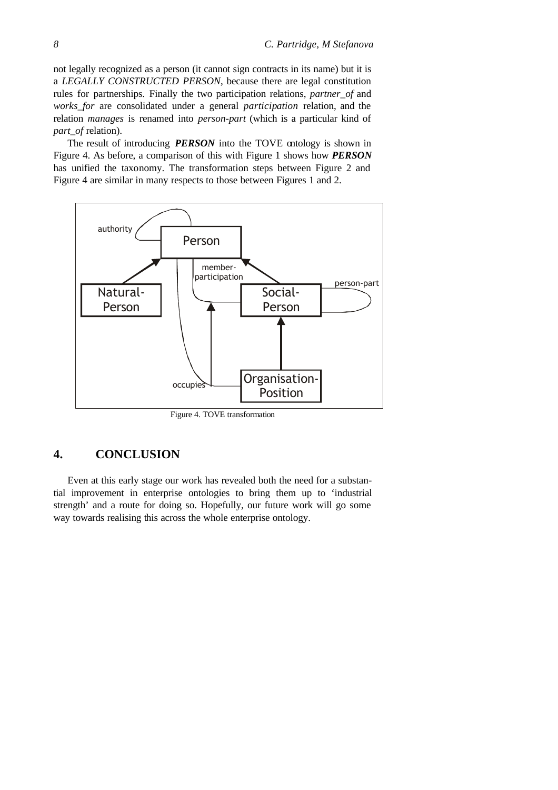not legally recognized as a person (it cannot sign contracts in its name) but it is a *LEGALLY CONSTRUCTED PERSON*, because there are legal constitution rules for partnerships. Finally the two participation relations, *partner\_of* and *works\_for* are consolidated under a general *participation* relation, and the relation *manages* is renamed into *person-part* (which is a particular kind of *part\_of* relation).

The result of introducing *PERSON* into the TOVE ontology is shown in Figure 4. As before, a comparison of this with Figure 1 shows how *PERSON* has unified the taxonomy. The transformation steps between Figure 2 and Figure 4 are similar in many respects to those between Figures 1 and 2.



Figure 4. TOVE transformation

### **4. CONCLUSION**

Even at this early stage our work has revealed both the need for a substantial improvement in enterprise ontologies to bring them up to 'industrial strength' and a route for doing so. Hopefully, our future work will go some way towards realising this across the whole enterprise ontology.